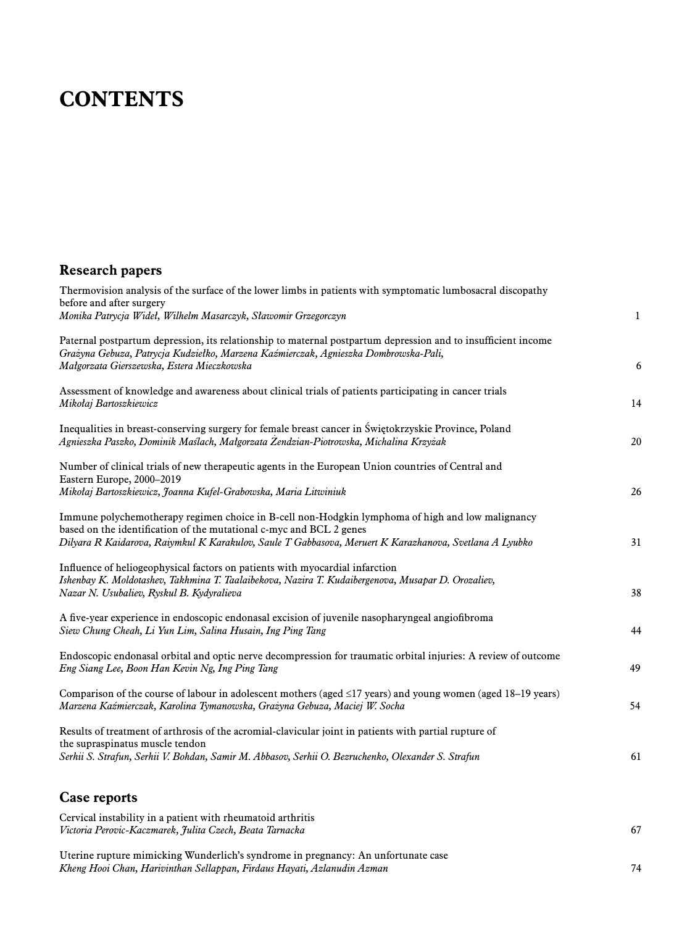## **CONTENTS**

## **Research papers**

| Thermovision analysis of the surface of the lower limbs in patients with symptomatic lumbosacral discopathy                                                                                                                                                                       |              |
|-----------------------------------------------------------------------------------------------------------------------------------------------------------------------------------------------------------------------------------------------------------------------------------|--------------|
| before and after surgery<br>Monika Patrycja Wideł, Wilhelm Masarczyk, Sławomir Grzegorczyn                                                                                                                                                                                        | $\mathbf{1}$ |
| Paternal postpartum depression, its relationship to maternal postpartum depression and to insufficient income<br>Grażyna Gebuza, Patrycja Kudziełko, Marzena Kaźmierczak, Agnieszka Dombrowska-Pali,<br>Małgorzata Gierszewska, Estera Mieczkowska                                | 6            |
| Assessment of knowledge and awareness about clinical trials of patients participating in cancer trials<br>Mikołaj Bartoszkiewicz                                                                                                                                                  | 14           |
| Inequalities in breast-conserving surgery for female breast cancer in Świętokrzyskie Province, Poland<br>Agnieszka Paszko, Dominik Maślach, Małgorzata Żendzian-Piotrowska, Michalina Krzyżak                                                                                     | 20           |
| Number of clinical trials of new therapeutic agents in the European Union countries of Central and<br>Eastern Europe, 2000-2019                                                                                                                                                   |              |
| Mikołaj Bartoszkiewicz, Joanna Kufel-Grabowska, Maria Litwiniuk                                                                                                                                                                                                                   | 26           |
| Immune polychemotherapy regimen choice in B-cell non-Hodgkin lymphoma of high and low malignancy<br>based on the identification of the mutational c-myc and BCL 2 genes<br>Dilyara R Kaidarova, Raiymkul K Karakulov, Saule T Gabbasova, Meruert K Karazhanova, Svetlana A Lyubko | 31           |
| Influence of heliogeophysical factors on patients with myocardial infarction<br>Ishenbay K. Moldotashev, Takhmina T. Taalaibekova, Nazira T. Kudaibergenova, Musapar D. Orozaliev,<br>Nazar N. Usubaliev, Ryskul B. Kydyralieva                                                   | 38           |
| A five-year experience in endoscopic endonasal excision of juvenile nasopharyngeal angiofibroma<br>Siew Chung Cheah, Li Yun Lim, Salina Husain, Ing Ping Tang                                                                                                                     | 44           |
| Endoscopic endonasal orbital and optic nerve decompression for traumatic orbital injuries: A review of outcome<br>Eng Siang Lee, Boon Han Kevin Ng, Ing Ping Tang                                                                                                                 | 49           |
| Comparison of the course of labour in adolescent mothers (aged $\leq$ 17 years) and young women (aged 18–19 years)<br>Marzena Kaźmierczak, Karolina Tymanowska, Grażyna Gebuza, Maciej W. Socha                                                                                   | 54           |
| Results of treatment of arthrosis of the acromial-clavicular joint in patients with partial rupture of                                                                                                                                                                            |              |
| the supraspinatus muscle tendon<br>Serhii S. Strafun, Serhii V. Bohdan, Samir M. Abbasov, Serhii O. Bezruchenko, Olexander S. Strafun                                                                                                                                             | 61           |
| <b>Case reports</b>                                                                                                                                                                                                                                                               |              |
| Cervical instability in a patient with rheumatoid arthritis<br>Victoria Perovic-Kaczmarek, Julita Czech, Beata Tarnacka                                                                                                                                                           | 67           |

Uterine rupture mimicking Wunderlich's syndrome in pregnancy: An unfortunate case *Kheng Hooi Chan, Harivinthan Sellappan, Firdaus Hayati, Azlanudin Azman* 74